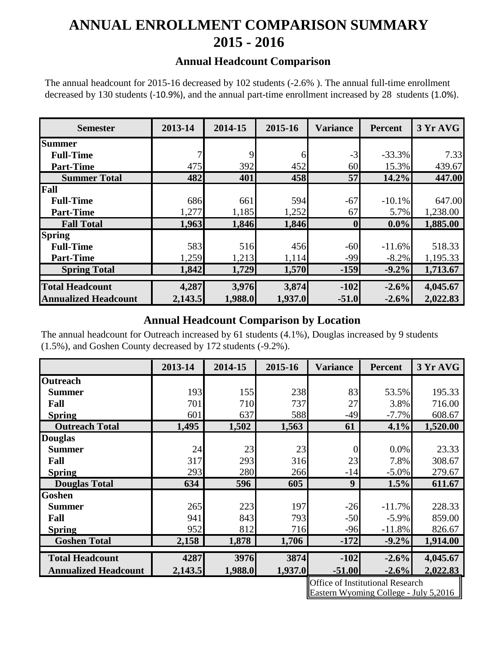# **ANNUAL ENROLLMENT COMPARISON SUMMARY 2015 - 2016**

#### **Annual Headcount Comparison**

The annual headcount for 2015-16 decreased by 102 students (-2.6% ). The annual full-time enrollment decreased by 130 students (-10.9%), and the annual part-time enrollment increased by 28 students (1.0%).

| <b>Semester</b>             | 2013-14 | 2014-15 | 2015-16 | <b>Variance</b>  | <b>Percent</b> | 3 Yr AVG |
|-----------------------------|---------|---------|---------|------------------|----------------|----------|
| <b>Summer</b>               |         |         |         |                  |                |          |
| <b>Full-Time</b>            | 7       | 9       | 6       | $-3$             | $-33.3%$       | 7.33     |
| <b>Part-Time</b>            | 475     | 392     | 452     | 60               | 15.3%          | 439.67   |
| <b>Summer Total</b>         | 482     | 401     | 458     | 57               | 14.2%          | 447.00   |
| Fall                        |         |         |         |                  |                |          |
| <b>Full-Time</b>            | 686     | 661     | 594     | $-67$            | $-10.1%$       | 647.00   |
| <b>Part-Time</b>            | 1,277   | 1,185   | 1,252   | 67               | 5.7%           | 1,238.00 |
| <b>Fall Total</b>           | 1,963   | 1,846   | 1,846   | $\boldsymbol{0}$ | $0.0\%$        | 1,885.00 |
| <b>Spring</b>               |         |         |         |                  |                |          |
| <b>Full-Time</b>            | 583     | 516     | 456     | $-60$            | $-11.6%$       | 518.33   |
| <b>Part-Time</b>            | 1,259   | 1,213   | 1,114   | $-99$            | $-8.2%$        | 1,195.33 |
| <b>Spring Total</b>         | 1,842   | 1,729   | 1,570   | $-159$           | $-9.2%$        | 1,713.67 |
|                             |         |         |         |                  |                |          |
| <b>Total Headcount</b>      | 4,287   | 3,976   | 3,874   | $-102$           | $-2.6%$        | 4,045.67 |
| <b>Annualized Headcount</b> | 2,143.5 | 1,988.0 | 1,937.0 | $-51.0$          | $-2.6%$        | 2,022.83 |

### **Annual Headcount Comparison by Location**

The annual headcount for Outreach increased by 61 students (4.1%), Douglas increased by 9 students (1.5%), and Goshen County decreased by 172 students (-9.2%).

|                             | 2013-14 | 2014-15 | 2015-16 | <b>Variance</b> | <b>Percent</b> | 3 Yr AVG |
|-----------------------------|---------|---------|---------|-----------------|----------------|----------|
| <b>Outreach</b>             |         |         |         |                 |                |          |
| <b>Summer</b>               | 193     | 155     | 238     | 83              | 53.5%          | 195.33   |
| Fall                        | 701     | 710     | 737     | 27              | 3.8%           | 716.00   |
| <b>Spring</b>               | 601     | 637     | 588     | $-49$           | $-7.7\%$       | 608.67   |
| <b>Outreach Total</b>       | 1,495   | 1,502   | 1,563   | 61              | 4.1%           | 1,520.00 |
| <b>Douglas</b>              |         |         |         |                 |                |          |
| <b>Summer</b>               | 24      | 23      | 23      | $\overline{0}$  | $0.0\%$        | 23.33    |
| Fall                        | 317     | 293     | 316     | 23              | 7.8%           | 308.67   |
| <b>Spring</b>               | 293     | 280     | 266     | $-14$           | $-5.0\%$       | 279.67   |
| <b>Douglas Total</b>        | 634     | 596     | 605     | 9               | 1.5%           | 611.67   |
| <b>Goshen</b>               |         |         |         |                 |                |          |
| <b>Summer</b>               | 265     | 223     | 197     | $-26$           | $-11.7%$       | 228.33   |
| Fall                        | 941     | 843     | 793     | $-50$           | $-5.9\%$       | 859.00   |
| <b>Spring</b>               | 952     | 812     | 716     | $-96$           | $-11.8%$       | 826.67   |
| <b>Goshen Total</b>         | 2,158   | 1,878   | 1,706   | $-172$          | $-9.2%$        | 1,914.00 |
|                             |         |         |         |                 |                |          |
| <b>Total Headcount</b>      | 4287    | 3976    | 3874    | $-102$          | $-2.6%$        | 4,045.67 |
| <b>Annualized Headcount</b> | 2,143.5 | 1,988.0 | 1,937.0 | $-51.00$        | $-2.6%$        | 2,022.83 |

Office of Institutional Research Eastern Wyoming College - July 5,2016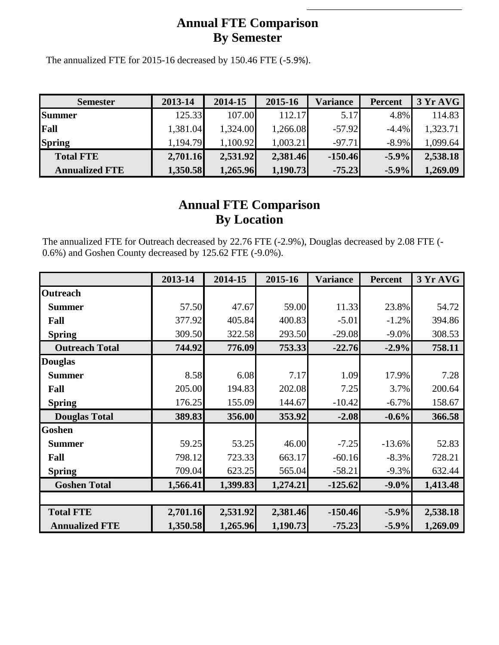### **Annual FTE Comparison By Semester**

The annualized FTE for 2015-16 decreased by 150.46 FTE (-5.9%).

| <b>Semester</b>       | 2013-14  | 2014-15  | 2015-16  | Variance  | <b>Percent</b> | 3YrAVG   |
|-----------------------|----------|----------|----------|-----------|----------------|----------|
| <b>Summer</b>         | 125.33   | 107.00   | 112.17   | 5.17      | 4.8%           | 114.83   |
| Fall                  | 1,381.04 | 1,324.00 | 1,266.08 | $-57.92$  | $-4.4\%$       | 1,323.71 |
| <b>Spring</b>         | 1,194.79 | 1,100.92 | 1,003.21 | $-97.71$  | $-8.9\%$       | 1,099.64 |
| <b>Total FTE</b>      | 2,701.16 | 2,531.92 | 2,381.46 | $-150.46$ | $-5.9\%$       | 2,538.18 |
| <b>Annualized FTE</b> | 1,350.58 | 1,265.96 | 1,190.73 | $-75.23$  | $-5.9\%$       | 1,269.09 |

## **Annual FTE Comparison By Location**

The annualized FTE for Outreach decreased by 22.76 FTE (-2.9%), Douglas decreased by 2.08 FTE (- 0.6%) and Goshen County decreased by 125.62 FTE (-9.0%).

|                       | 2013-14  | 2014-15  | 2015-16  | <b>Variance</b> | <b>Percent</b> | 3 Yr AVG |
|-----------------------|----------|----------|----------|-----------------|----------------|----------|
| <b>Outreach</b>       |          |          |          |                 |                |          |
| <b>Summer</b>         | 57.50    | 47.67    | 59.00    | 11.33           | 23.8%          | 54.72    |
| Fall                  | 377.92   | 405.84   | 400.83   | $-5.01$         | $-1.2%$        | 394.86   |
| <b>Spring</b>         | 309.50   | 322.58   | 293.50   | $-29.08$        | $-9.0\%$       | 308.53   |
| <b>Outreach Total</b> | 744.92   | 776.09   | 753.33   | $-22.76$        | $-2.9%$        | 758.11   |
| <b>Douglas</b>        |          |          |          |                 |                |          |
| <b>Summer</b>         | 8.58     | 6.08     | 7.17     | 1.09            | 17.9%          | 7.28     |
| Fall                  | 205.00   | 194.83   | 202.08   | 7.25            | 3.7%           | 200.64   |
| <b>Spring</b>         | 176.25   | 155.09   | 144.67   | $-10.42$        | $-6.7%$        | 158.67   |
| <b>Douglas Total</b>  | 389.83   | 356.00   | 353.92   | $-2.08$         | $-0.6%$        | 366.58   |
| Goshen                |          |          |          |                 |                |          |
| <b>Summer</b>         | 59.25    | 53.25    | 46.00    | $-7.25$         | $-13.6%$       | 52.83    |
| Fall                  | 798.12   | 723.33   | 663.17   | $-60.16$        | $-8.3%$        | 728.21   |
| <b>Spring</b>         | 709.04   | 623.25   | 565.04   | $-58.21$        | $-9.3%$        | 632.44   |
| <b>Goshen Total</b>   | 1,566.41 | 1,399.83 | 1,274.21 | $-125.62$       | $-9.0\%$       | 1,413.48 |
|                       |          |          |          |                 |                |          |
| <b>Total FTE</b>      | 2,701.16 | 2,531.92 | 2,381.46 | $-150.46$       | $-5.9%$        | 2,538.18 |
| <b>Annualized FTE</b> | 1,350.58 | 1,265.96 | 1,190.73 | $-75.23$        | $-5.9%$        | 1,269.09 |